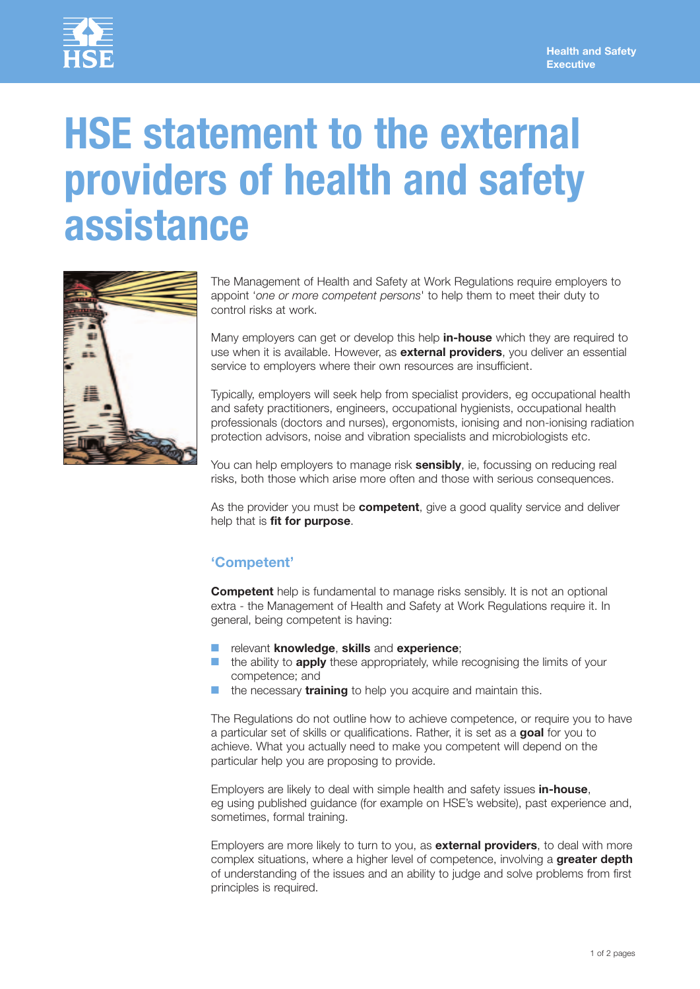

# **HSE statement to the external providers of health and safety assistance**



The Management of Health and Safety at Work Regulations require employers to appoint '*one or more competent persons*' to help them to meet their duty to control risks at work.

Many employers can get or develop this help in-house which they are required to use when it is available. However, as **external providers**, you deliver an essential service to employers where their own resources are insufficient.

Typically, employers will seek help from specialist providers, eg occupational health and safety practitioners, engineers, occupational hygienists, occupational health professionals (doctors and nurses), ergonomists, ionising and nonionising radiation protection advisors, noise and vibration specialists and microbiologists etc.

You can help employers to manage risk **sensibly**, ie, focussing on reducing real risks, both those which arise more often and those with serious consequences.

As the provider you must be **competent**, give a good quality service and deliver help that is **fit for purpose**.

## **'Competent'**

**Competent** help is fundamental to manage risks sensibly. It is not an optional extra - the Management of Health and Safety at Work Regulations require it. In general, being competent is having:

- relevant **knowledge**, **skills** and **experience**;
- the ability to **apply** these appropriately, while recognising the limits of your competence; and
- the necessary **training** to help you acquire and maintain this.

The Regulations do not outline how to achieve competence, or require you to have a particular set of skills or qualifications. Rather, it is set as a **goal** for you to achieve. What you actually need to make you competent will depend on the particular help you are proposing to provide.

Employers are likely to deal with simple health and safety issues in-house, eg using published guidance (for example on HSE's website), past experience and, sometimes, formal training.

Employers are more likely to turn to you, as **external providers**, to deal with more complex situations, where a higher level of competence, involving a **greater depth** of understanding of the issues and an ability to judge and solve problems from first principles is required.